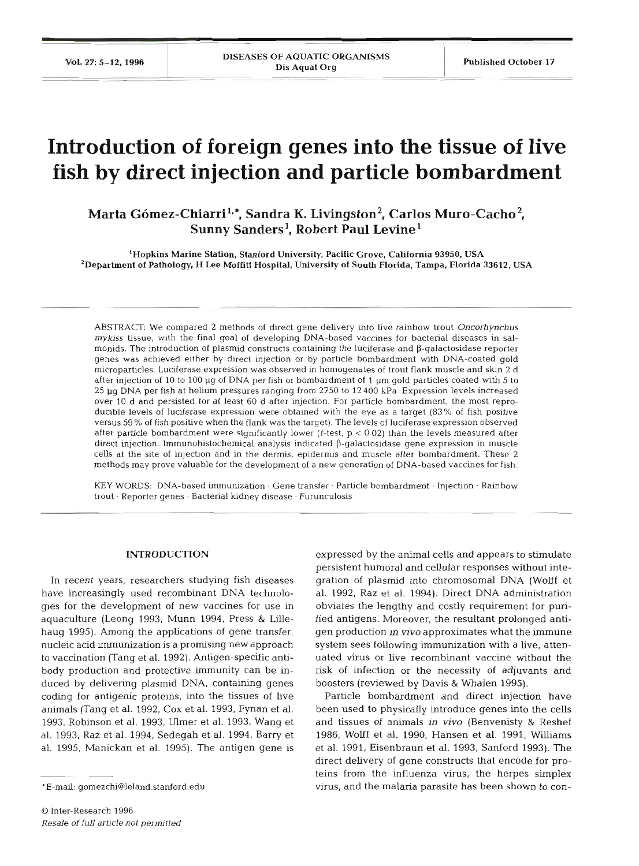# **Introduction of foreign genes into the tissue of live fish by direct injection and particle bombardment**

Marta Gómez-Chiarri<sup>1,\*</sup>, Sandra K. Livingston<sup>2</sup>, Carlos Muro-Cacho<sup>2</sup>, Sunny Sanders<sup>1</sup>, Robert Paul Levine<sup>1</sup>

'Hopkins Marine Station. Stanford University, Pacific Grove, California **93950,** USA <sup>2</sup> Department of Pathology, H Lee Moffitt Hospital, University of South Florida, Tampa, Florida 33612, USA

ABSTRACT: We compared 2 methods of direct gene delivery into live rainbow trout Oncorhynchus *mykiss* tissue, with the final goal of developing DNA-based vaccines for bacterial diseases in salmonids. The introduction of plasmid constructs containing the luciferase and P-galactosidase reporter genes was achieved either by direct injection or by particle bombardment with DNA-coated gold microparticles. Luciferase expression was observed in homogenates of trout flank muscle and skin 2 d after injection of 10 to 100 pg of DNA per fish or bombardment of 1 pm gold particles coated **with** 5 to 25 pg DNA per fish at helium pressures ranging from 2750 to 12 400 kPa. Expression levels increased over 10 d and persisted for at least 60 d after injection. For particle bombardment, the most reproducible levels of luciferase expression were obtained with the eye as a target **(83%** of fish positive versus 59 % of fish positive when the flank was the target). The levels of luciferase expression observed after particle bombardment were significantly lower ( $t$ -test,  $p < 0.02$ ) than the levels measured after direct injection. Immunohistochemical analysis indicated P-galactosidase gene expression in muscle cells at the site of injection and in the dermis, epidermis and muscle after bombardment. These 2 methods may prove valuable for the development of a new generation of DNA-based vaccines for fish.

KEY WORDS: DNA-based immunization. Gene transfer. Particle bombardment. Injection. Rainbow trout · Reporter genes · Bacterial kidney disease · Furunculosis

### **INTRODUCTI**

In recent years, researchers studying fish diseases have increasingly used recombinant DNA technologies for the development of new vaccines for use in aquaculture (Leong 1993, Munn 1994, Press & Lillehaug 1995). Among the applications of gene transfer, nucleic acid immunization is a promising new approach to vaccination (Tang et al. 1992). Antigen-specific antibody production and protective immunity can be induced by delivering plasmid DNA, containing genes coding for antigenic proteins, into the tissues of live animals (Tang et al. 1992, Cox et al. 1993, Fynan et al. 1993, Robinson et al. 1993, Ulmer et al. 1993, Wang et al. 1993, Raz et al. 1994, Sedegah et al. 1994, Barry et al. 1995, Manickan et al. 1995). The antigen gene is

expressed by the animal cells and appears to stimulate persistent humoral and cellular responses without integration of plasmid into chromosomal DNA (Wolff et al. 1992, Raz et al. 1994). Direct DNA administration obviates the lengthy and costly requirement for purified antigens. Moreover, the resultant prolonged antigen production in **vivo** approximates what the immune system sees following immunization with a live, attenuated virus or live recombinant vaccine without risk of infection or the necessity of adjuvants and boosters (reviewed by Davis & Whalen 1995).

Particle bombardment and direct injection have been used to physically introduce genes into the cells and tissues of animals in vivo (Benvenisty & Reshef 1986, Wolff et **al.** 1990, Hansen et **al.** 1991, Williams et al. 1991, Eisenbraun et **al.** 1993, Sanford 1993). The direct delivery of gene constructs that encode for proteins from the influenza virus, the herpes simplex virus, and the malaria parasite has been shown to con-

<sup>&#</sup>x27;E-mail: gomezchi@leland.stanford.edu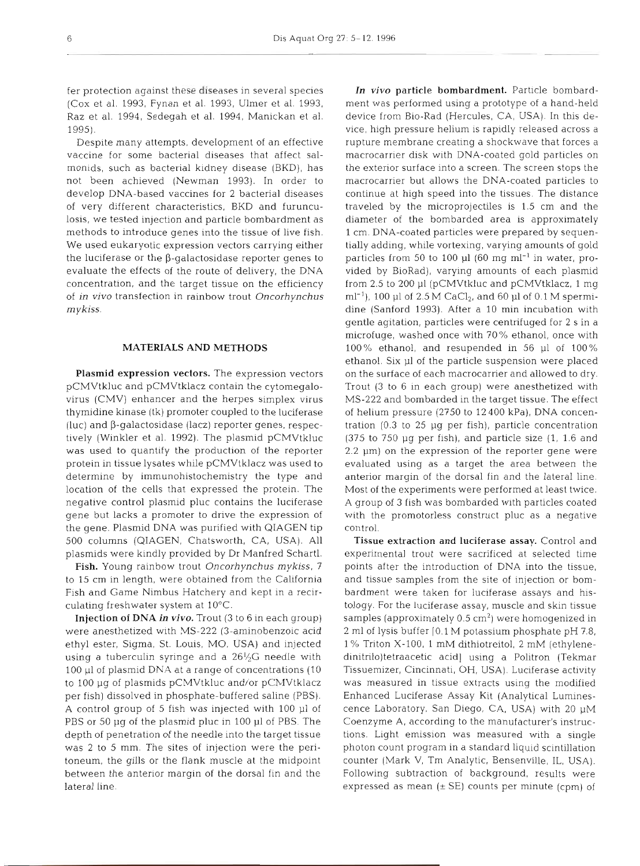fer protection against these diseases in several species (Cox et al. 1993, Fynan et al. 1993, Ulmer et al. 1993. Raz et al. 1994, Sedegah et al. 1994, Manickan et al. 1995).

Despite many attempts, development of an effective vaccine for some bacterial diseases that affect salmonids, such as bacterial kidney disease (BKD), has not been achieved (Newman 1993). In order to develop DNA-based vaccines for 2 bacterial diseases of very different characteristics, BKD and furunculosis, we tested injection and particle bombardment as methods to introduce genes into the tissue of live fish. We used eukaryotic expression vectors carrying either the luciferase or the  $\beta$ -galactosidase reporter genes to evaluate the effects of the route of delivery, the DNA concentration, and the target tissue on the efficiency of *in vivo* transfection in rainbow trout *Oncorhynchus*  <sup>m</sup>*ykiss.* 

## **MATERIALS AND METHODS**

Plasmid expression vectors. The expression vectors pCMVtkluc and pCMVtklacz contain the cytomegalovirus (CMV) enhancer and the herpes simplex virus thymidine kinase (tk) promoter coupled to the luciferase (luc) and  $\beta$ -galactosidase (lacz) reporter genes, respectively (Winkler et al. 1992). The plasmid pCMVtkluc was used to quantify the production of the reporter protein in tissue lysates while pCMVtklacz was used to determine by immunohistochemistry the type and location of the cells that expressed the protein. The negative control plasmid pluc contains the luciferase gene but lacks a promoter to drive the expression of the gene. Plasmid DNA was purified with QIAGEN tip 500 columns (QIAGEN, Chatsworth, CA, USA). All plasmids were kindly provided by Dr Manfred Schartl.

Fish. Young rainbow trout *Oncorhynchus mykiss.* <sup>7</sup> to 15 cm in length, were obtained from the California Fish and Game Nimbus Hatchery and kept in a recirculating freshwater system at 10°C.

Injection **of DNA** in **vivo.** Trout (3 to 6 in each group) were anesthetized with MS-222 (3-aminobenzoic acid ethyl ester, Sigma, St. Louis, MO, USA) and injected using a tuberculin syringe and a  $26\frac{1}{2}G$  needle with 100 p1 of plasmid DNA at a range of concentrations (10 to 100 pg of plasmids pCMVtkluc and/or pCMVtklacz per fish) dissolved in phosphate-buffered saline (PBS). A control group of 5 fish was injected with 100 p1 of PBS or 50 µg of the plasmid pluc in 100 µl of PBS. The depth of penetration of the needle into the target tissue was 2 to 5 mm. The sites of injection were the peritoneum, the gills or the flank muscle at the midpoint between the anterior margin of the dorsal fin and the lateral line.

In vivo particle bombardment. Particle bombardment was performed using a prototype of a hand-held device from Bio-Rad (Hercules, CA, USA). In this device, high pressure helium is rapidly released across a rupture membrane creating a shockwave that forces a macrocarrier disk with DNA-coated gold particles on the exterior surface into a screen. The screen stops the macrocarrier but allows the DNA-coated particles to continue at high speed into the tissues. The distance traveled by the microprojectiles is 1.5 cm and the diameter of the bombarded area is approximately 1 cm. DNA-coated particles were prepared by sequentially adding, while vortexing, varying amounts of gold particles from 50 to 100 µl (60 mg ml<sup>-1</sup> in water, provided by BioRad), varying amounts of each plasmid from 2.5 to 200 p1 (pCMVtkluc and pCMVtklacz, 1 mg ml<sup>-1</sup>), 100 µl of 2.5 M CaCl<sub>2</sub>, and 60 µl of 0.1 M spermidine (Sanford 1993). After a 10 min incubation with gentle agitation, particles were centrifuged for 2 S in **<sup>a</sup>** microfuge, washed once with 70% ethanol, once with 100% ethanol, and resupended in 56 p1 of 100% ethanol. Six p1 of the particle suspension were placed on the surface of each macrocarrier and allowed to dry. Trout **(3** to 6 in each group) were anesthetized with MS-222 and bombarded in the target tissue. The effect of helium pressure (2750 to 12 400 kPa), DNA concentration  $(0.3 \text{ to } 25 \text{ µg per fish})$ , particle concentration  $(375$  to  $750$  µg per fish), and particle size  $(1, 1.6$  and  $2.2 \mu m$ ) on the expression of the reporter gene were evaluated using as a target the area between the anterior margin of the dorsal fin and the lateral line Most of the experiments were performed at least twice. A group of 3 fish was bombarded with particles coated with the promotorless construct pluc as a negative control.

Tissue extraction and luciferase assay. Control and experimental trout were sacrificed at selected time points after the introduction of DNA into the tissue, and tissue samples from the site of injection or bombardment were taken for luciferase assays and histology. For the luciferase assay, muscle and skin tissue samples (approximately  $0.5 \text{ cm}^2$ ) were homogenized in 2 m1 of lysis buffer 10.1 M potassium phosphate pH 7.8, 1 % Triton X-100, 1 mM dithiotreitol, 2 mM (ethylenedinitri1o)tetraacetic acid] using a Politron (Tekmar Tissuemizer, Cincinnati, OH, USA). Luciferase activity was measured in tissue extracts using the modified Enhanced Luciferase Assay Kit (Analytical Luminescence Laboratory, San Diego, CA, USA) with 20 pM Coenzyme A, according to the manufacturer's instructions. Light emission was measured with a single photon count program in a standard liquid scintillation counter (Mark V, Tm Analytic, Bensenville, IL, USA). Following subtraction of background, results were expressed as mean  $(\pm S$ E) counts per minute (cpm) of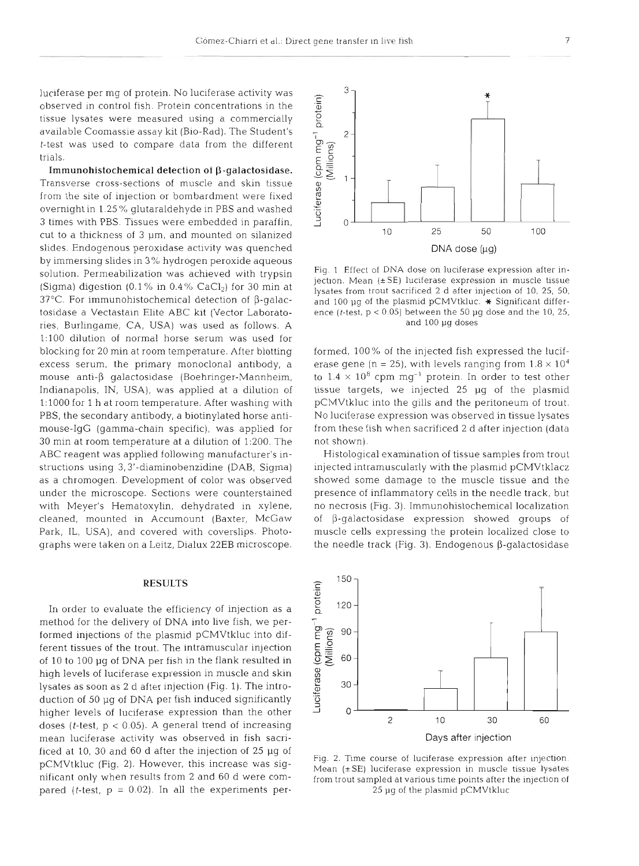luciferase per mg of protein. No luciferase activity was observed in control fish. Protein concentrations in  $\cdot$ tissue lysates were measured using a commercially available Coomassie assay kit (Bio-Rad). The Student's t-test was used to compare data from the different tria

Immunohistochemical detection of  $\beta$ -galactosidase. Transverse cross-sections of muscle and skin tiss from the site of injection or bombardment were fixed overnight in 1.25'%, glutaraldehyde in PBS and washed 3 times with PBS. Tissues were embedded in paraffin, cut to a thickness of 3 um, and mounted on silanized slides. Endogenous peroxidase activity was quenched by immersing slides in 3% hydrogen peroxide aqueous solution. Permeabilization was achieved with trypsin (Sigma) digestion (0.1% in  $0.4\%$  CaCl<sub>2</sub>) for 30 min at  $37^{\circ}$ C. For immunohistochemical detection of  $\beta$ -galactosidase a Vectastain Elite ABC kit (Vector Laboratories, Burlingame, CA, USA) was used as follows. A  $1:100$  dilution of normal horse serum was used blocking for 20 min at room temperature. After blotting excess serum, the primary monoclonal antibody, a  $mouse$  anti- $\beta$  galactosidase (Boehringer-Mannheim, Indianapolis, IN, USA), was applied at a dilution of 1:1000 for 1 h at room temperature. After washing with PBS, the secondary antibody, a biotinylated horse antimouse-IgG (gamma-chain specific), was applied for 30 min at room temperature at a dilution of 1:200. The ABC reagent was applied following manufacturer's instructions using 3,3'-diaminobenzidine (DAB, Sigma) as a chromogen. Development of color was observed under the microscope. Sections were counterstained with Meyer's Hematoxylin, dehydrated in xylene, cleaned, mounted in Accumount (Baxter, McGaw Park, IL, USA), and covered with coverslips. Photographs were taken on a Leitz, Dialux 22EB microscope.

#### **RESUL**

In order to evaluate the efficiency of injection as a method for the delivery of DNA into live fish, we performed injections of the plasmid pCMVtkluc into different tissues of the trout. The intramuscular injection of 10 to 100 pg of DNA per fish in the flank resulted in high levels of luciferase expression in muscle and skin lysates as soon as 2 d after injection (Fig. 1). The introduction of 50 pg of DNA per fish induced significantly higher levels of luciferase expression than the other doses (*t*-test,  $p < 0.05$ ). A general trend of increasing mean luciferase activity was observed in fish sacrificed at 10, 30 and 60 d after the injection of 25 pg of pCMVtkluc (Fig. 2). However, this increase was significant only when results from 2 and 60 d were compared (*t*-test,  $p = 0.02$ ). In all the experiments per-



Fig. 1 Effect of DNA dose on luciferase expression after<br>jection. Mean (±SE) luciferase expression in muscle tiss<br>lysates from trout sacrificed 2 d after injection of 10, 25,<br>and 100 µg of the plasmid pCMVtkluc.  $\star$  Sign



Fig. 2. Time course of luciferase expression after injection.<br>Mean ( $\pm$ SE) luciferase expression in muscle tissue lysates<br>from trout sampled at various time points after the injection of<br> $25 \mu$ g of the plasmid pCMVtkluc

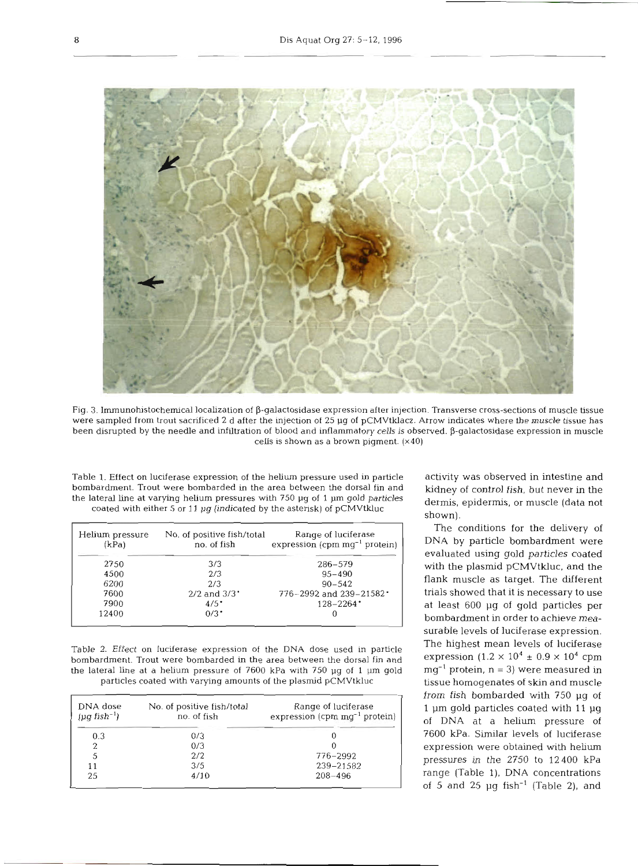

Fig. 3. lrnmunohistochemical localization of P-galactosidase expression after injection. Transverse cross-sections of muscle tissue were sampled from trout sacrificed 2 d after the injection of 25 µg of pCMVtklacz. Arrow indicates where the muscle tissue has been disrupted by the needle and infiltration of blood and inflammatory cells is observed. β-galactosidase expression in muscle cells is shown as a brown pigment. (x40)

Table 1. Effect on luciferase expression of the helium pressure used in particle bombardment. Trout were bombarded in the area between the dorsal fin and the lateral line at varying helium pressures with  $750 \mu$ g of 1  $\mu$ m gold particles coated with either 5 or 11  $\mu$ g (indicated by the asterisk) of pCMVtkluc

| Helium pressure<br>(kPa) | No. of positive fish/total<br>no. of fish | Range of luciferase<br>expression (cpm $mq^{-1}$ protein) |
|--------------------------|-------------------------------------------|-----------------------------------------------------------|
| 2750                     | 3/3                                       | $286 - 579$                                               |
| 4500                     | 2/3                                       | $95 - 490$                                                |
| 6200                     | 2/3                                       | $90 - 542$                                                |
| 7600                     | $2/2$ and $3/3$ <sup>.</sup>              | 776-2992 and 239-21582                                    |
| 7900                     | $4/5$ <sup>*</sup>                        | $128 - 2264$                                              |
| 12400                    | $0/3$ <sup>*</sup>                        |                                                           |
|                          |                                           |                                                           |

Table 2. Effect on luciferase expression of the DNA dose used in particle bombardment. Trout were bombarded in the area between the dorsal fin and the lateral line at a helium pressure of 7600 kPa with 750 pg of 1 **pm** gold particles coated with varying amounts of the plasmid pCMVtkluc

| DNA dose<br>$(\mu q \text{ fish}^{-1})$ | No. of positive fish/total<br>no. of fish | Range of luciferase<br>expression (cpm $mq^{-1}$ protein) |
|-----------------------------------------|-------------------------------------------|-----------------------------------------------------------|
| 0.3                                     | 0/3                                       |                                                           |
|                                         | 0/3                                       |                                                           |
|                                         | 2/2                                       | 776-2992                                                  |
| 11                                      | 3/5                                       | 239-21582                                                 |
| 25                                      | 4/10                                      | $208 - 496$                                               |

activity was observed in intestine and kidney of control fish, but never in the dermis, epidermis, or muscle (data not shown).

The conditions for the delivery of DNA by particle bombardment were evaluated using gold particles coated with the plasmid pCMVtkluc, and the flank muscle as target. The different trials showed that it is necessary to use at least 600 pg of gold particles per bombardment in order to acheve measurable levels of luciferase expression. The highest mean levels of luciferase expression  $(1.2 \times 10^4 \pm 0.9 \times 10^4 \text{ cm})$  $mg^{-1}$  protein,  $n = 3$ ) were measured in tissue homogenates of skin and muscle from fish bombarded with 750 pg of 1 pm gold particles coated with **<sup>11</sup>**pg of DNA at a helium pressure of 7600 kPa. Similar levels of luciferase expression were obtained with helium pressures in the 2750 to 12400 **kPa**  range (Table 1), DNA concentrations of 5 and 25  $\mu$ g fish<sup>-1</sup> (Table 2), and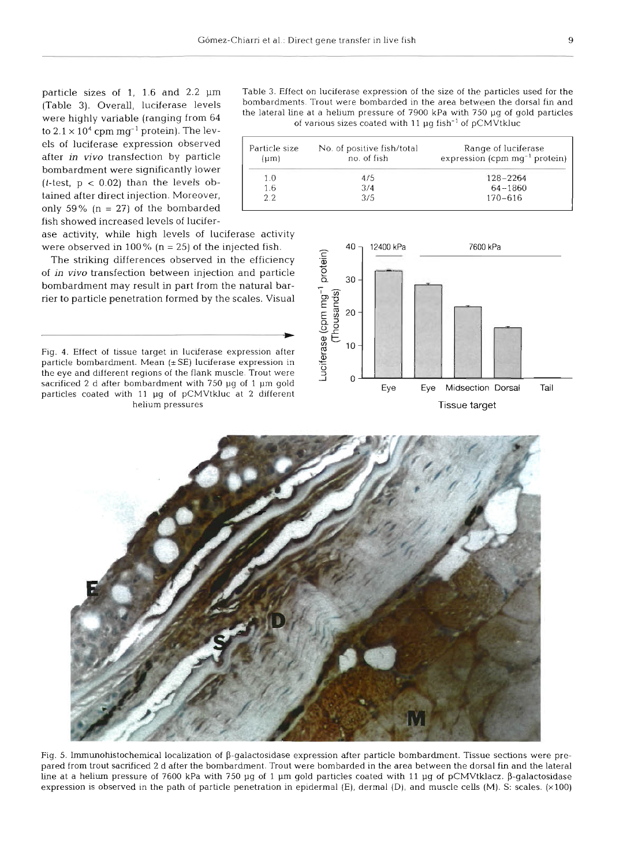to  $2.1 \times 10^4$  cpm mg<sup>-1</sup> protein). The levels of luciferase expression observed after in vivo transfection by particle bombardment were significantly lower  $(t$ -test,  $p < 0.02$ ) than the levels obtained after direct injection. Moreover, only 59% ( $n = 27$ ) of the bombarded fish showed increased levels of lucifer-

ase activity, while high levels of luciferase activity<br>were observed in  $100\%$  (n = 25) of the injected fish.

The striking differences observed in the effici of in vivo transfection between injection and parti bombardment may result in part from the natural rier to particle penetration formed by the scales. Visual<br>  $\begin{array}{ccc}\n & \text{or} & \text{if} \\
 \text{if} & \text{if} & \text{if} \\
 & \text{if} & \text{if} \\
 & \text{if} & \text{if} \\
 & \text{if} & \text{if} \\
 & \text{if} & \text{if} \\
 & \text{if} & \text{if} \\
 & \text{if} & \text{if} \\
 & \text{if} & \text{if} \\
 & \text{if} & \text{if} \\
 & \text{if} & \text{if} \\
 & \text{if$ 

Fig. 4. Effect of tissue target in luciferase expression after particle bombardment. Mean  $(\pm SE)$  luciferase expression in the eye and different regions of the flank muscle. Trout were sacrificed 2 d after bombardment with 750 µg of 1 µm gold

particle sizes of 1, 1.6 and 2.2  $\mu$ m Table 3. Effect on luciferase expression of the size of the particles used for the (Table 3). Overall, luciferase levels bombardments. Trout were bombarded in the area between the dor were highly variable (ranging from 64 the lateral line at a helium pressure of 7900 kPa with 750 µg of gold particles<br>of various sizes coated with 11 µg fish<sup>-1</sup> of pCMVtkluc

| Particle size<br>${\mu}$ m | No. of positive fish/total<br>no. of fish | Range of luciferase<br>expression (cpm $mg^{-1}$ protein) |
|----------------------------|-------------------------------------------|-----------------------------------------------------------|
| 1.0                        | 4/5                                       | $128 - 2264$                                              |
| 1.6                        | 3/4                                       | $64 - 1860$                                               |
| 2.2                        | 3/5                                       | $170 - 616$                                               |





Fig. 5. Immunohistochemical localization of  $\beta$ -galactosidase expression after particle bombardment. Tissue sections were prepared from trout sacrificed 2 d after the bombardment. Trout were bombarded in the area between the dorsal fin and the lateral line at a helium pressure of 7600 kPa with 750 µq of 1 µm gold particles coated with 11 µq of pCMVtklacz.  $\beta$ -galactosidase expression is observed in the path of particle penetration in epidermal (E), dermal (D), and muscle cells (M). S: scales. (x100)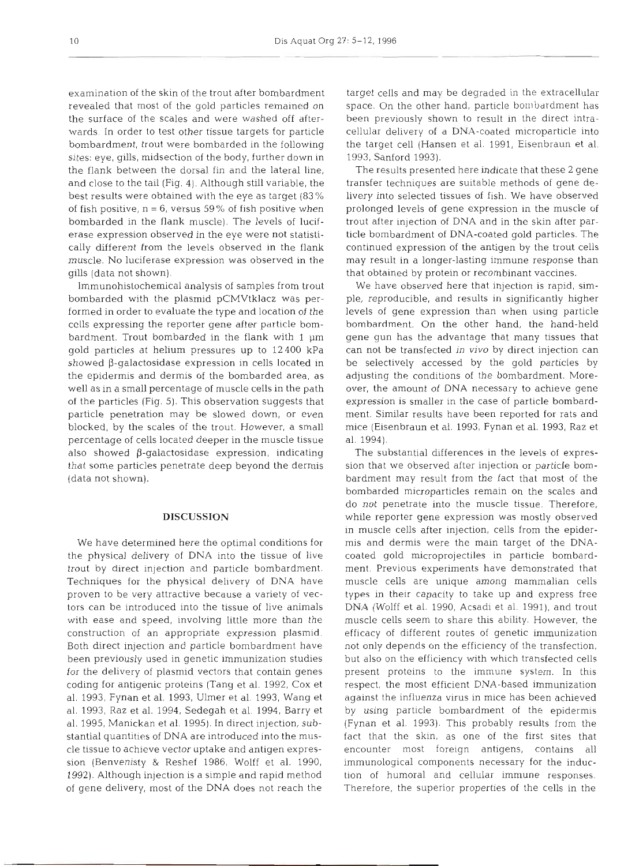examination of the skin of the trout after bombardment revealed that most of the gold particles remained on the surface of the scales and were washed off afterwards. In order to test other tissue targets for particle bombardment, trout were bombarded in the following sites: eye, gills, midsection of the body, further down in the flank between the dorsal fin and the lateral line, and close to the tail (Fig. 4). Although still variable, the best results were obtained with the eye as target (83% of fish positive,  $n = 6$ , versus 59% of fish positive when bombarded in the flank muscle). The levels of luciferase expression observed in the eye were not statistically different from the levels observed in the flank muscle. No luciferase expression was observed in the gills (data not shown).

Immunohistochemical analysis of samples from trout bombarded with the plasmid pCMVtklacz was performed in order to evaluate the type and location of the cclls expressing the reporter gene after particle bombardment. Trout bombarded in the flank with 1 pm gold particles at helium pressures up to 12400 kPa showed  $\beta$ -galactosidase expression in cells located in the epidermis and dermis of the bombarded area, as well as in a small percentage of muscle cells in the path of the particles (Fig. *5).* This observation suggests that particle penetration may be slowed down, or even blocked, by the scales of the trout. However, a small percentage of cells located deeper in the muscle tissue also showed  $\beta$ -galactosidase expression, indicating that some particles penetrate deep beyond the dermis (data not shown).

## **DISCUSSION**

We have determined here the optimal conditions for the physical delivery of DNA into the tissue of live trout by direct injection and particle bombardment. Techniques for the physical delivery of DNA have proven to be very attractive because a variety of vectors can be introduced into the tissue of live animals with ease and speed, involving little more than the construction of an appropriate expression plasmid. Both direct injection and particle bombardment have been previously used in genetic immunization studies for the delivery of plasmid vectors that contain genes coding for antigenic proteins (Tang et al. 1992, Cox et al. 1993, Fynan et al. 1993, Ulmer et al. 1993, Wang et al. 1993, Raz et al. 1994, Sedegah et al. 1994, Barry et al. 1995, Manickan et al. 1995). In direct injection, substantial quantities of DNA are introduced into the muscle tissue to achieve vector uptake and antigen expression (Benvenisty & Reshef 1986, Wolff et al. 1990, 1992). Although injection is a simple and rapid method of gene delivery, most of the DNA does not reach the

target cells and may be degraded in the extracellular space. On the other hand, particle bombardment has been previously shown to result in the direct intracellular delivery of a DNA-coated microparticle into the target cell (Hansen et al. 1991, Eisenbraun et al. 1993, Sanford 1993).

The results presented here indicate that these 2 gene transfer techniques are suitable methods of gene delivery into selected tissues of fish. We have observed prolonged levels of gene expression in the muscle of trout after injection of DNA and in the skin after particle bombardment of DNA-coated gold particles. The continued expression of the antigen by the trout cells may result in a longer-lasting immune response than that obtained by protein or recombinant vaccines.

We have observed here that injection is rapid, simple, reproducible, and results in significantly higher levels of gene expression than when using particle bombardment. On the other hand, the hand-held gene gun has the advantage that many tissues that can not be transfected in vivo by direct injection can be selectively accessed by the gold particles by adjusting the conditions of the bombardment. Moreover, the amount of DNA necessary to achieve gene expression is smaller in the case of particle bombardment. Similar results have been reported for rats and mice (Eisenbraun et al. 1993, Fynan et al. 1993, Raz et al. 1994).

The substantial differences in the levels of expression that we observed after injection or particle bombardment may result from the fact that most of the bombarded microparticles remain on the scales and do not penetrate into the muscle tissue. Therefore, while reporter gene expression was mostly observed in muscle cells after injection, cells from the epidermis and dermis were the main target of the DNAcoated gold microprojectiles in particle bombardment. Previous experiments have demonstrated that muscle cells are unique among mammalian cells types in their capacity to take up and express free DNA (Wolff et al. 1990, Acsadi et al. 1991), and trout muscle cells seem to share this ability. However, the efficacy of different routes of genetic immunization not only depends on the efficiency of the transfection, but also on the efficiency with which transfected cells present proteins to the immune system. In this respect, the most efficient DNA-based immunization against the influenza virus in mice has been achieved by using particle bombardment of the epidermis (Fynan et al. 1993). This probably results from the fact that the skin, as one of the first sites that encounter most foreign antigens, contains all immunological components necessary for the induction of humoral and cellular immune responses. Therefore, the superior properties of the cells in the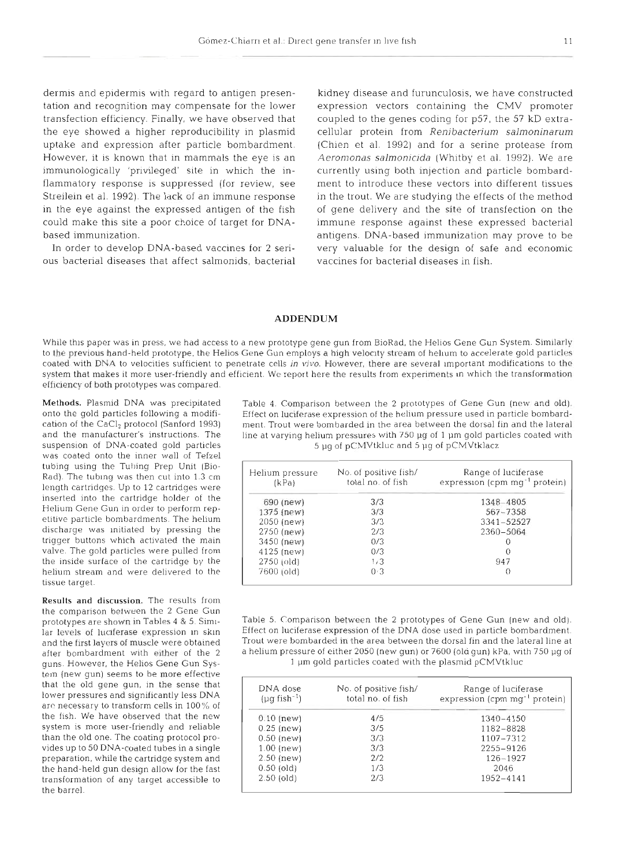dermis and epidermis with regard to antigen presentation and recognition may compensate for the lower transfection efficiency. Finally, we have observed that the eye showed a higher reproducibility in plasmid uptake and expression after particle bombardment. However, it is known that in mammals the eye is an immunologically 'privileged' site in which the inflammatory response is suppressed (for review, see Streilein et al. 1992). The lack of an immune response in the eye against the expressed antigen of the fish could make this site a poor choice of target for DNAbased immunization.

In order to develop DNA-based vaccines for 2 serious bacterial diseases that affect salmonids, bacterial

kidney disease and furunculosis, we have constructed expression vectors containing the CMV promoter coupled to the genes coding for p57, the 57 kD extracellular protein from *Renibacterium salmoninarum*  (Chien et al. 1992) and for a serine protease from Aeromonas salmonicida (Whitby et al. 1992). We are currently using both injection and particle bombardment to introduce these vectors into different tissues in the trout. We are studying the effects of the method of gene delivery and the site of transfection on the immune response against these expressed bacterial antigens. DNA-based immunization may prove to be very valuable for the design of safe and economic vaccines for bacterial diseases in fish.

## **ADDENDUM**

While this paper was in press, we had access to a new prototype gene gun from BioRad, the Helios Gene Gun System. Similarly to the previous hand-held prototype, the Helios Gene Gun employs a high velocity stream of helium to accelerate gold particles coated with DNA to velocities sufficient to penetrate cells in vivo. However, there are several important modifications to the system that makes it more user-friendly and efficient. We report here the results from experiments in which the transformation efficiency of both prototypes was compared.

was coated onto the inner wall of Tefzel tubing using the Tubing Prep Unit (Bio-Rad). The tublng was then cut into 1.3 cm length cartridges Up to 12 cartridges were inserted into the cartridge holder ot the Helium Gene Gun in order to perform repetitive particle bombardments. The helium discharge was Initiated by pressing the trigger buttons which activated the main valve. The gold particles were pulled from the inside surface of the cartridge by the helium stream and were delivered to the tissue target.

Results and discussion. The results from the comparison between the 2 Gene Gun<br>prototypes are shown in Tables 4 & 5. Simitem (new gun) seems to be more effective that the old gene gun, in the sense that lower pressures and significantly less DNA are necessary to transform cells in  $100\%$  of the fish. We have observed that the new system is more user-friendly and reliable than the old one. The coating protocol provides up to 50 DNA-coated tubes in a single preparation, while the cartridge system and the hand-held gun design allow for the fast transformation of any target accessible to the barrel.

Methods. Plasmid DNA was precipitated Table 4. Comparison between the 2 prototypes of Gene Gun (new and old).<br>
onto the gold particles following a modifi-<br>
Effect on luciferase expression of the helium pressure used in par onto the gold particles following a modifi-<br>
Effect on luciferase expression of the helium pressure used in particle bombard-<br>

Effect on luciferase expression of the helium pressure used in particle bombarded in the area cation of the CaCl<sub>2</sub> protocol (Sanford 1993) ment. Trout were bombarded in the area between the dorsal fin and the lateral and the manufacturer's instructions. The line at varying helium pressures with 750 ug of 1 um gold and the manufacturer's instructions. The line at varying helium pressures with 750 pg of 1 µm gold particles coated with suspension of DNA-coated gold particles  $\frac{5 \text{ uq of C} \text{M}}{t}$  and 5 ug of pCMVtklacz 5 µg of pCMVtkluc and 5 µg of pCMVtklacz

| Helium pressure<br>(kPa) | No. of positive fish/<br>total no. of fish | Range of luciferase<br>expression (cpm mg <sup>-1</sup> protein) |
|--------------------------|--------------------------------------------|------------------------------------------------------------------|
| 690 (new)                | 3/3                                        | 1348-4805                                                        |
| $1375$ (new)             | 3/3                                        | $567 - 7358$                                                     |
| $2050$ (new)             | 3/3                                        | $3341 - 52527$                                                   |
| 2750 (new)               | 2/3                                        | 2360-5064                                                        |
| 3450 (new)               | 0/3                                        | $\cup$                                                           |
| $4125$ (new)             | 0/3                                        | $\theta$                                                         |
| $2750$ (old)             | 1/3                                        | 947                                                              |
| 7600 (old)               | 0.3                                        | $^{(1)}$                                                         |

Table 5. Comparison between the 2 prototypes of Gene Gun (new and old). lar levels of luclferase expression in skin Effect on luciferase expression of the DNA dose used in particle bombardment. and the first layers of muscle were obtained Trout were bombarded in the area between the dorsal fin and the lateral line at after bombardment with either of the 2 a helium pressure of either 2050 (new gun) or 7600 (old gun) kPa, with 750 pg of guns. However, the Helios Gene Gun Sys- 1 pm gold particles coated with the plasmid pCMVtkluc

| DNA dose<br>$(\mu q \text{ fish}^{-1})$ | No. of positive fish/<br>total no. of fish | Range of luciferase<br>expression (cpm mg <sup>-1</sup> protein) |
|-----------------------------------------|--------------------------------------------|------------------------------------------------------------------|
| $0.10$ (new)                            | 4/5                                        | $1340 - 4150$                                                    |
| $0.25$ (new)                            | 3/5                                        | 1182-8828                                                        |
| $0.50$ (new)                            | 3/3                                        | 1107-7312                                                        |
| $1.00$ (new)                            | 3/3                                        | 2255-9126                                                        |
| $2.50$ (new)                            | 2/2                                        | $126 - 1927$                                                     |
| $0.50$ (old)                            | 1/3                                        | 2046                                                             |
| $2.50$ (old)                            | 2/3                                        | 1952-4141                                                        |